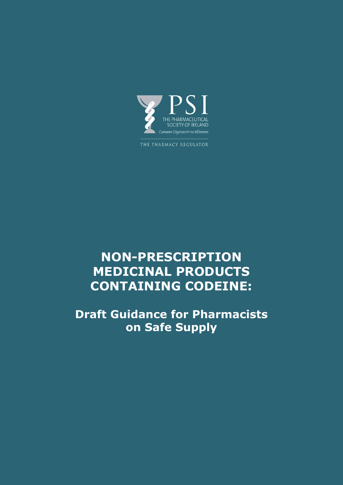

THE PHARMACY REGULATOR

# **NON-PRESCRIPTION MEDICINAL PRODUCTS CONTAINING CODEINE:**

**Draft Guidance for Pharmacists on Safe Supply**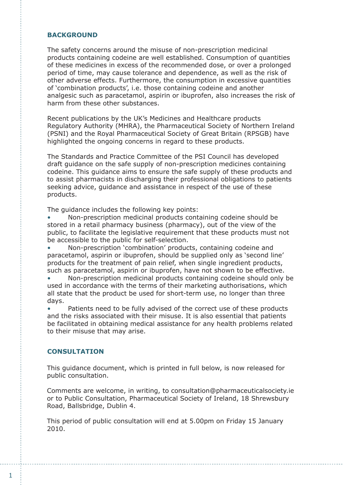# **BACKGROUND**

The safety concerns around the misuse of non-prescription medicinal products containing codeine are well established. Consumption of quantities of these medicines in excess of the recommended dose, or over a prolonged period of time, may cause tolerance and dependence, as well as the risk of other adverse effects. Furthermore, the consumption in excessive quantities of 'combination products', i.e. those containing codeine and another analgesic such as paracetamol, aspirin or ibuprofen, also increases the risk of harm from these other substances.

Recent publications by the UK's Medicines and Healthcare products Regulatory Authority (MHRA), the Pharmaceutical Society of Northern Ireland (PSNI) and the Royal Pharmaceutical Society of Great Britain (RPSGB) have highlighted the ongoing concerns in regard to these products.

The Standards and Practice Committee of the PSI Council has developed draft guidance on the safe supply of non-prescription medicines containing codeine. This guidance aims to ensure the safe supply of these products and to assist pharmacists in discharging their professional obligations to patients seeking advice, guidance and assistance in respect of the use of these products.

The guidance includes the following key points:

Non-prescription medicinal products containing codeine should be stored in a retail pharmacy business (pharmacy), out of the view of the public, to facilitate the legislative requirement that these products must not be accessible to the public for self-selection.

Non-prescription 'combination' products, containing codeine and paracetamol, aspirin or ibuprofen, should be supplied only as 'second line' products for the treatment of pain relief, when single ingredient products, such as paracetamol, aspirin or ibuprofen, have not shown to be effective.

• Non-prescription medicinal products containing codeine should only be used in accordance with the terms of their marketing authorisations, which all state that the product be used for short-term use, no longer than three days.

• Patients need to be fully advised of the correct use of these products and the risks associated with their misuse. It is also essential that patients be facilitated in obtaining medical assistance for any health problems related to their misuse that may arise.

## **CONSULTATION**

This guidance document, which is printed in full below, is now released for public consultation.

Comments are welcome, in writing, to consultation@pharmaceuticalsociety.ie or to Public Consultation, Pharmaceutical Society of Ireland, 18 Shrewsbury Road, Ballsbridge, Dublin 4.

This period of public consultation will end at 5.00pm on Friday 15 January 2010.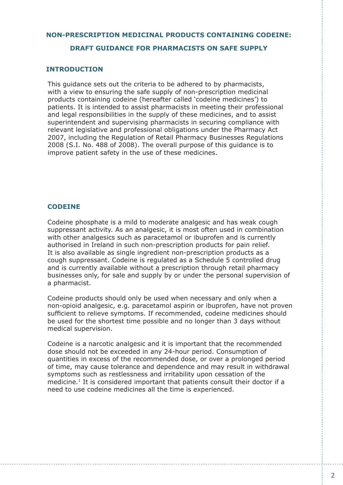# **NON-PRESCRIPTION MEDICINAL PRODUCTS CONTAINING CODEINE:**

## **DRAFT GUIDANCE FOR PHARMACISTS ON SAFE SUPPLY**

## **INTRODUCTION**

This guidance sets out the criteria to be adhered to by pharmacists, with a view to ensuring the safe supply of non-prescription medicinal products containing codeine (hereafter called 'codeine medicines') to patients. It is intended to assist pharmacists in meeting their professional and legal responsibilities in the supply of these medicines, and to assist superintendent and supervising pharmacists in securing compliance with relevant legislative and professional obligations under the Pharmacy Act 2007, including the Regulation of Retail Pharmacy Businesses Regulations 2008 (S.I. No. 488 of 2008). The overall purpose of this guidance is to improve patient safety in the use of these medicines.

## **CODEINE**

Codeine phosphate is a mild to moderate analgesic and has weak cough suppressant activity. As an analgesic, it is most often used in combination with other analgesics such as paracetamol or ibuprofen and is currently authorised in Ireland in such non-prescription products for pain relief. It is also available as single ingredient non-prescription products as a cough suppressant. Codeine is regulated as a Schedule 5 controlled drug and is currently available without a prescription through retail pharmacy businesses only, for sale and supply by or under the personal supervision of a pharmacist.

Codeine products should only be used when necessary and only when a non-opioid analgesic, e.g. paracetamol aspirin or ibuprofen, have not proven sufficient to relieve symptoms. If recommended, codeine medicines should be used for the shortest time possible and no longer than 3 days without medical supervision.

Codeine is a narcotic analgesic and it is important that the recommended dose should not be exceeded in any 24-hour period. Consumption of quantities in excess of the recommended dose, or over a prolonged period of time, may cause tolerance and dependence and may result in withdrawal symptoms such as restlessness and irritability upon cessation of the medicine.1 It is considered important that patients consult their doctor if a need to use codeine medicines all the time is experienced.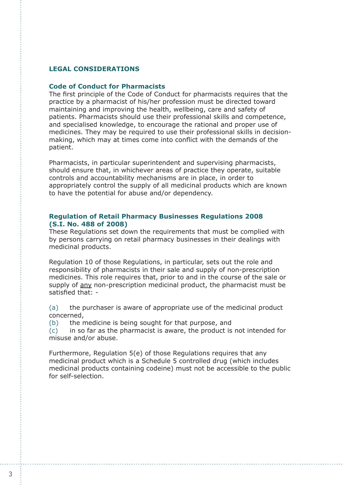# **LEGAL CONSIDERATIONS**

#### **Code of Conduct for Pharmacists**

The first principle of the Code of Conduct for pharmacists requires that the practice by a pharmacist of his/her profession must be directed toward maintaining and improving the health, wellbeing, care and safety of patients. Pharmacists should use their professional skills and competence, and specialised knowledge, to encourage the rational and proper use of medicines. They may be required to use their professional skills in decisionmaking, which may at times come into conflict with the demands of the patient.

Pharmacists, in particular superintendent and supervising pharmacists, should ensure that, in whichever areas of practice they operate, suitable controls and accountability mechanisms are in place, in order to appropriately control the supply of all medicinal products which are known to have the potential for abuse and/or dependency.

#### **Regulation of Retail Pharmacy Businesses Regulations 2008 (S.I. No. 488 of 2008)**

These Regulations set down the requirements that must be complied with by persons carrying on retail pharmacy businesses in their dealings with medicinal products.

Regulation 10 of those Regulations, in particular, sets out the role and responsibility of pharmacists in their sale and supply of non-prescription medicines. This role requires that, prior to and in the course of the sale or supply of any non-prescription medicinal product, the pharmacist must be satisfied that: -

(a) the purchaser is aware of appropriate use of the medicinal product concerned,

(b) the medicine is being sought for that purpose, and

(c) in so far as the pharmacist is aware, the product is not intended for misuse and/or abuse.

Furthermore, Regulation 5(e) of those Regulations requires that any medicinal product which is a Schedule 5 controlled drug (which includes medicinal products containing codeine) must not be accessible to the public for self-selection.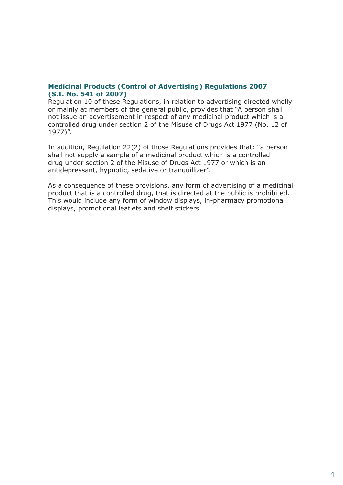# **Medicinal Products (Control of Advertising) Regulations 2007 (S.I. No. 541 of 2007)**

Regulation 10 of these Regulations, in relation to advertising directed wholly or mainly at members of the general public, provides that "A person shall not issue an advertisement in respect of any medicinal product which is a controlled drug under section 2 of the Misuse of Drugs Act 1977 (No. 12 of 1977)".

In addition, Regulation 22(2) of those Regulations provides that: "a person shall not supply a sample of a medicinal product which is a controlled drug under section 2 of the Misuse of Drugs Act 1977 or which is an antidepressant, hypnotic, sedative or tranquillizer".

As a consequence of these provisions, any form of advertising of a medicinal product that is a controlled drug, that is directed at the public is prohibited. This would include any form of window displays, in-pharmacy promotional displays, promotional leaflets and shelf stickers.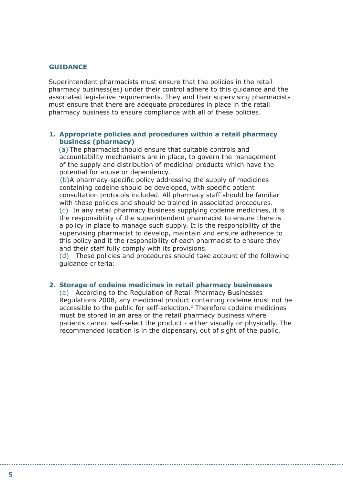# **GUIDANCE**

Superintendent pharmacists must ensure that the policies in the retail pharmacy business(es) under their control adhere to this guidance and the associated legislative requirements. They and their supervising pharmacists must ensure that there are adequate procedures in place in the retail pharmacy business to ensure compliance with all of these policies.

#### **1. Appropriate policies and procedures within a retail pharmacy business (pharmacy)**

(a) The pharmacist should ensure that suitable controls and accountability mechanisms are in place, to govern the management of the supply and distribution of medicinal products which have the potential for abuse or dependency.

(b)A pharmacy-specific policy addressing the supply of medicines containing codeine should be developed, with specific patient consultation protocols included. All pharmacy staff should be familiar with these policies and should be trained in associated procedures. (c) In any retail pharmacy business supplying codeine medicines, it is the responsibility of the superintendent pharmacist to ensure there is a policy in place to manage such supply. It is the responsibility of the supervising pharmacist to develop, maintain and ensure adherence to this policy and it the responsibility of each pharmacist to ensure they and their staff fully comply with its provisions.

(d) These policies and procedures should take account of the following guidance criteria:

#### **2. Storage of codeine medicines in retail pharmacy businesses**

(a) According to the Regulation of Retail Pharmacy Businesses Regulations 2008, any medicinal product containing codeine must not be accessible to the public for self-selection.2 Therefore codeine medicines must be stored in an area of the retail pharmacy business where patients cannot self-select the product - either visually or physically. The recommended location is in the dispensary, out of sight of the public.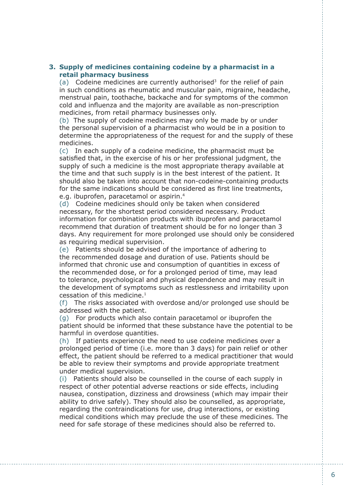# **3. Supply of medicines containing codeine by a pharmacist in a retail pharmacy business**

(a) Codeine medicines are currently authorised<sup>3</sup> for the relief of pain in such conditions as rheumatic and muscular pain, migraine, headache, menstrual pain, toothache, backache and for symptoms of the common cold and influenza and the majority are available as non-prescription medicines, from retail pharmacy businesses only.

(b) The supply of codeine medicines may only be made by or under the personal supervision of a pharmacist who would be in a position to determine the appropriateness of the request for and the supply of these medicines.

(c) In each supply of a codeine medicine, the pharmacist must be satisfied that, in the exercise of his or her professional judgment, the supply of such a medicine is the most appropriate therapy available at the time and that such supply is in the best interest of the patient. It should also be taken into account that non-codeine-containing products for the same indications should be considered as first line treatments, e.g. ibuprofen, paracetamol or aspirin.<sup>4</sup>

(d) Codeine medicines should only be taken when considered necessary, for the shortest period considered necessary. Product information for combination products with ibuprofen and paracetamol recommend that duration of treatment should be for no longer than 3 days. Any requirement for more prolonged use should only be considered as requiring medical supervision.

(e) Patients should be advised of the importance of adhering to the recommended dosage and duration of use. Patients should be informed that chronic use and consumption of quantities in excess of the recommended dose, or for a prolonged period of time, may lead to tolerance, psychological and physical dependence and may result in the development of symptoms such as restlessness and irritability upon cessation of this medicine. $1$ 

(f) The risks associated with overdose and/or prolonged use should be addressed with the patient.

(g) For products which also contain paracetamol or ibuprofen the patient should be informed that these substance have the potential to be harmful in overdose quantities.

(h) If patients experience the need to use codeine medicines over a prolonged period of time (i.e. more than 3 days) for pain relief or other effect, the patient should be referred to a medical practitioner that would be able to review their symptoms and provide appropriate treatment under medical supervision.

(i) Patients should also be counselled in the course of each supply in respect of other potential adverse reactions or side effects, including nausea, constipation, dizziness and drowsiness (which may impair their ability to drive safely). They should also be counselled, as appropriate, regarding the contraindications for use, drug interactions, or existing medical conditions which may preclude the use of these medicines. The need for safe storage of these medicines should also be referred to.